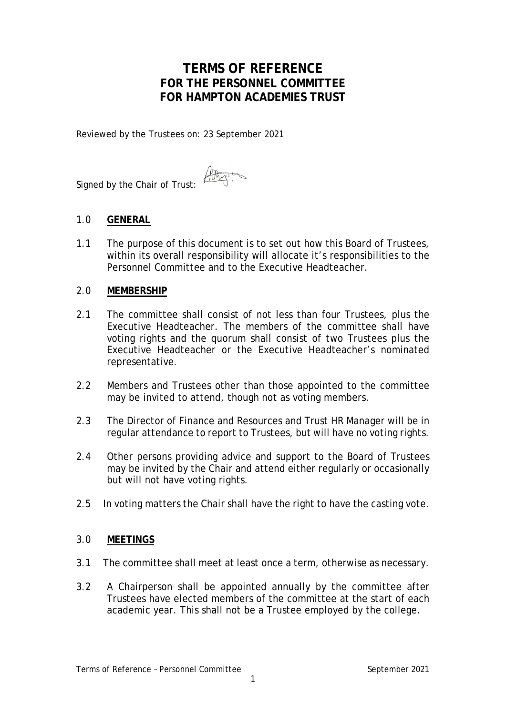# **TERMS OF REFERENCE FOR THE PERSONNEL COMMITTEE FOR HAMPTON ACADEMIES TRUST**

Reviewed by the Trustees on: 23 September 2021

Signed by the Chair of Trust:

## 1.0 **GENERAL**

1.1 The purpose of this document is to set out how this Board of Trustees, within its overall responsibility will allocate it's responsibilities to the Personnel Committee and to the Executive Headteacher.

## 2.0 **MEMBERSHIP**

- 2.1 The committee shall consist of not less than four Trustees, plus the Executive Headteacher. The members of the committee shall have voting rights and the quorum shall consist of two Trustees plus the Executive Headteacher or the Executive Headteacher's nominated representative.
- 2.2 Members and Trustees other than those appointed to the committee may be invited to attend, though not as voting members.
- 2.3 The Director of Finance and Resources and Trust HR Manager will be in regular attendance to report to Trustees, but will have no voting rights.
- 2.4 Other persons providing advice and support to the Board of Trustees may be invited by the Chair and attend either regularly or occasionally but will not have voting rights.
- 2.5 In voting matters the Chair shall have the right to have the casting vote.

## 3.0 **MEETINGS**

- 3.1 The committee shall meet at least once a term, otherwise as necessary.
- 3.2 A Chairperson shall be appointed annually by the committee after Trustees have elected members of the committee at the start of each academic year. This shall not be a Trustee employed by the college.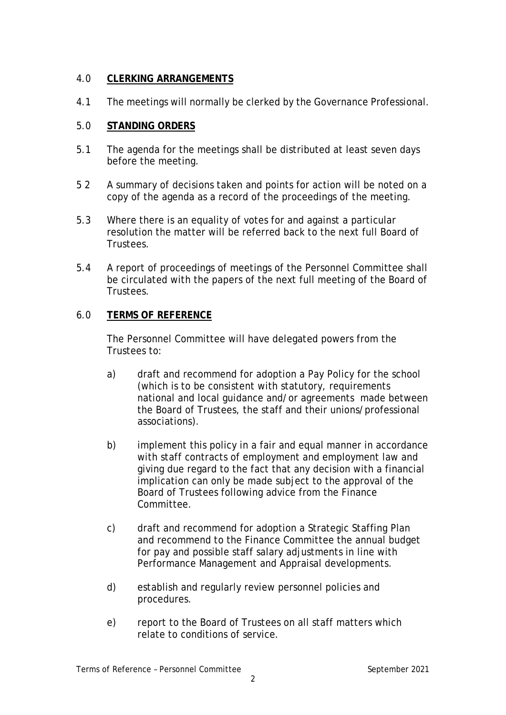# 4.0 **CLERKING ARRANGEMENTS**

4.1 The meetings will normally be clerked by the Governance Professional.

## 5.0 **STANDING ORDERS**

- 5.1 The agenda for the meetings shall be distributed at least seven days before the meeting.
- 5 2 A summary of decisions taken and points for action will be noted on a copy of the agenda as a record of the proceedings of the meeting.
- 5.3 Where there is an equality of votes for and against a particular resolution the matter will be referred back to the next full Board of Trustees.
- 5.4 A report of proceedings of meetings of the Personnel Committee shall be circulated with the papers of the next full meeting of the Board of Trustees.

## 6.0 **TERMS OF REFERENCE**

The Personnel Committee will have delegated powers from the Trustees to:

- a) draft and recommend for adoption a Pay Policy for the school (which is to be consistent with statutory, requirements national and local guidance and/or agreements made between the Board of Trustees, the staff and their unions/professional associations).
- b) implement this policy in a fair and equal manner in accordance with staff contracts of employment and employment law and giving due regard to the fact that any decision with a financial implication can only be made subject to the approval of the Board of Trustees following advice from the Finance Committee.
- c) draft and recommend for adoption a Strategic Staffing Plan and recommend to the Finance Committee the annual budget for pay and possible staff salary adjustments in line with Performance Management and Appraisal developments.
- d) establish and regularly review personnel policies and procedures.
- e) report to the Board of Trustees on all staff matters which relate to conditions of service.